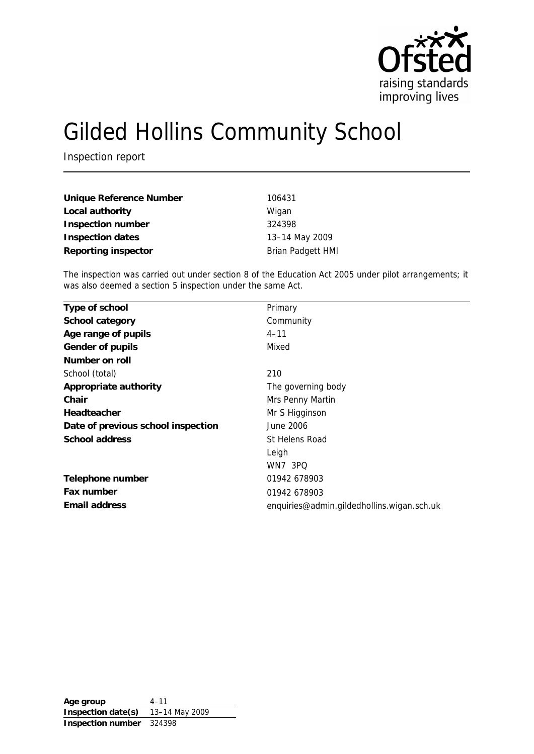

# Gilded Hollins Community School

Inspection report

| Unique Reference Number | 106431                   |
|-------------------------|--------------------------|
| Local authority         | Wigan                    |
| Inspection number       | 324398                   |
| Inspection dates        | 13-14 May 2009           |
| Reporting inspector     | <b>Brian Padgett HMI</b> |

The inspection was carried out under section 8 of the Education Act 2005 under pilot arrangements; it was also deemed a section 5 inspection under the same Act.

| Type of school                     | Primary                                    |
|------------------------------------|--------------------------------------------|
| School category                    | Community                                  |
| Age range of pupils                | $4 - 11$                                   |
| Gender of pupils                   | Mixed                                      |
| Number on roll                     |                                            |
| School (total)                     | 210                                        |
| Appropriate authority              | The governing body                         |
| Chair                              | Mrs Penny Martin                           |
| Headteacher                        | Mr S Higginson                             |
| Date of previous school inspection | June 2006                                  |
| School address                     | St Helens Road                             |
|                                    | Leigh                                      |
|                                    | <b>WN7 3PQ</b>                             |
| Telephone number                   | 01942 678903                               |
| Fax number                         | 01942 678903                               |
| Email address                      | enquiries@admin.gildedhollins.wigan.sch.uk |

**Age group** 4–11 **Inspection date(s)** 13–14 May 2009 **Inspection number** 324398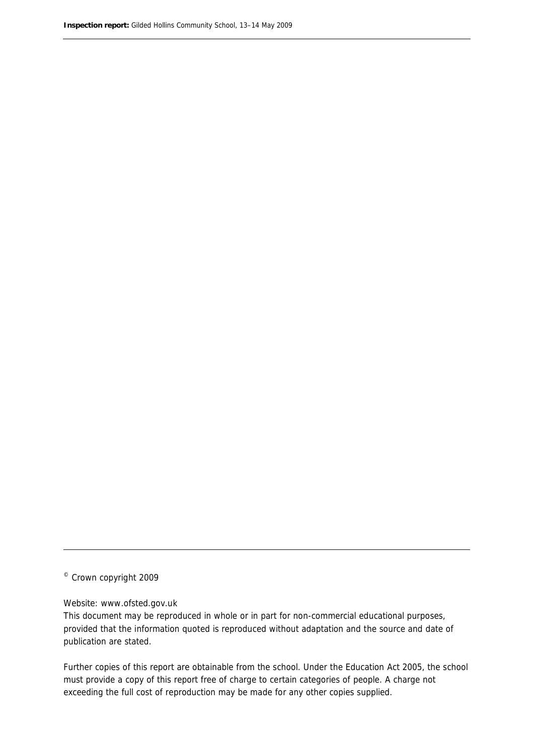© Crown copyright 2009

#### Website: www.ofsted.gov.uk

This document may be reproduced in whole or in part for non-commercial educational purposes, provided that the information quoted is reproduced without adaptation and the source and date of publication are stated.

Further copies of this report are obtainable from the school. Under the Education Act 2005, the school must provide a copy of this report free of charge to certain categories of people. A charge not exceeding the full cost of reproduction may be made for any other copies supplied.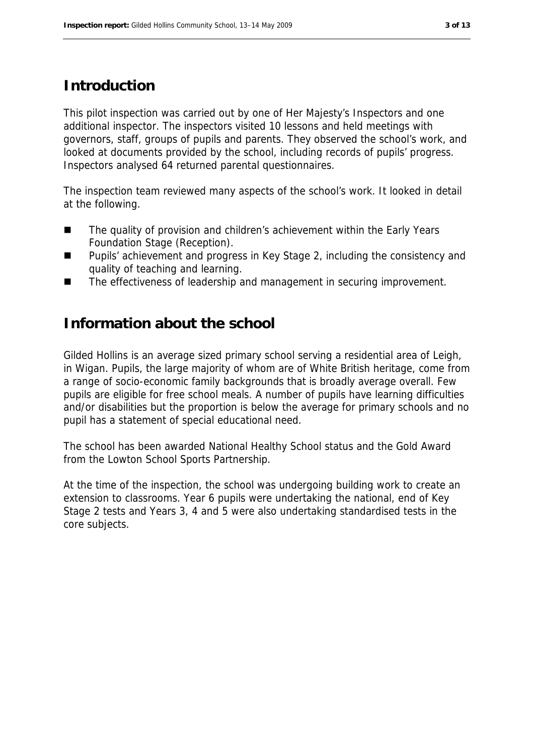#### **Introduction**

This pilot inspection was carried out by one of Her Majesty's Inspectors and one additional inspector. The inspectors visited 10 lessons and held meetings with governors, staff, groups of pupils and parents. They observed the school's work, and looked at documents provided by the school, including records of pupils' progress. Inspectors analysed 64 returned parental questionnaires.

The inspection team reviewed many aspects of the school's work. It looked in detail at the following.

- The quality of provision and children's achievement within the Early Years Foundation Stage (Reception).
- Pupils' achievement and progress in Key Stage 2, including the consistency and quality of teaching and learning.
- The effectiveness of leadership and management in securing improvement.

#### **Information about the school**

Gilded Hollins is an average sized primary school serving a residential area of Leigh, in Wigan. Pupils, the large majority of whom are of White British heritage, come from a range of socio-economic family backgrounds that is broadly average overall. Few pupils are eligible for free school meals. A number of pupils have learning difficulties and/or disabilities but the proportion is below the average for primary schools and no pupil has a statement of special educational need.

The school has been awarded National Healthy School status and the Gold Award from the Lowton School Sports Partnership.

At the time of the inspection, the school was undergoing building work to create an extension to classrooms. Year 6 pupils were undertaking the national, end of Key Stage 2 tests and Years 3, 4 and 5 were also undertaking standardised tests in the core subjects.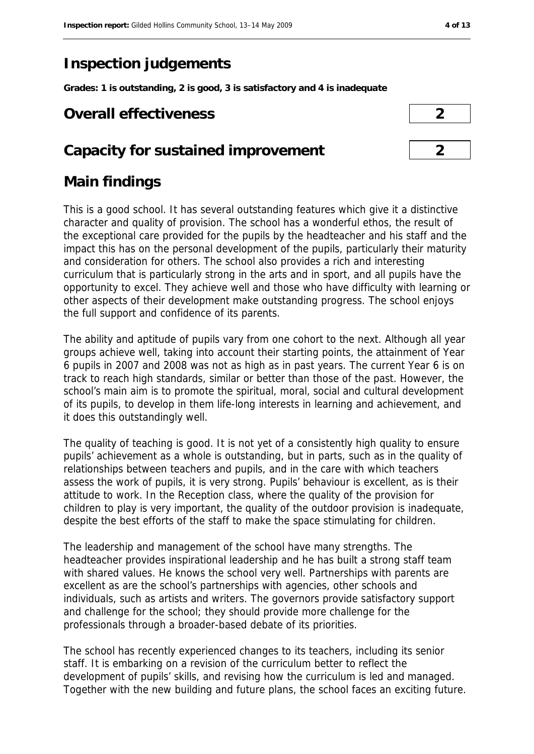# **Inspection judgements**

**Grades: 1 is outstanding, 2 is good, 3 is satisfactory and 4 is inadequate**

#### **Overall effectiveness 2**

#### **Capacity for sustained improvement 2**

# **Main findings**

This is a good school. It has several outstanding features which give it a distinctive character and quality of provision. The school has a wonderful ethos, the result of the exceptional care provided for the pupils by the headteacher and his staff and the impact this has on the personal development of the pupils, particularly their maturity and consideration for others. The school also provides a rich and interesting curriculum that is particularly strong in the arts and in sport, and all pupils have the opportunity to excel. They achieve well and those who have difficulty with learning or other aspects of their development make outstanding progress. The school enjoys the full support and confidence of its parents.

The ability and aptitude of pupils vary from one cohort to the next. Although all year groups achieve well, taking into account their starting points, the attainment of Year 6 pupils in 2007 and 2008 was not as high as in past years. The current Year 6 is on track to reach high standards, similar or better than those of the past. However, the school's main aim is to promote the spiritual, moral, social and cultural development of its pupils, to develop in them life-long interests in learning and achievement, and it does this outstandingly well.

The quality of teaching is good. It is not yet of a consistently high quality to ensure pupils' achievement as a whole is outstanding, but in parts, such as in the quality of relationships between teachers and pupils, and in the care with which teachers assess the work of pupils, it is very strong. Pupils' behaviour is excellent, as is their attitude to work. In the Reception class, where the quality of the provision for children to play is very important, the quality of the outdoor provision is inadequate, despite the best efforts of the staff to make the space stimulating for children.

The leadership and management of the school have many strengths. The headteacher provides inspirational leadership and he has built a strong staff team with shared values. He knows the school very well. Partnerships with parents are excellent as are the school's partnerships with agencies, other schools and individuals, such as artists and writers. The governors provide satisfactory support and challenge for the school; they should provide more challenge for the professionals through a broader-based debate of its priorities.

The school has recently experienced changes to its teachers, including its senior staff. It is embarking on a revision of the curriculum better to reflect the development of pupils' skills, and revising how the curriculum is led and managed. Together with the new building and future plans, the school faces an exciting future.

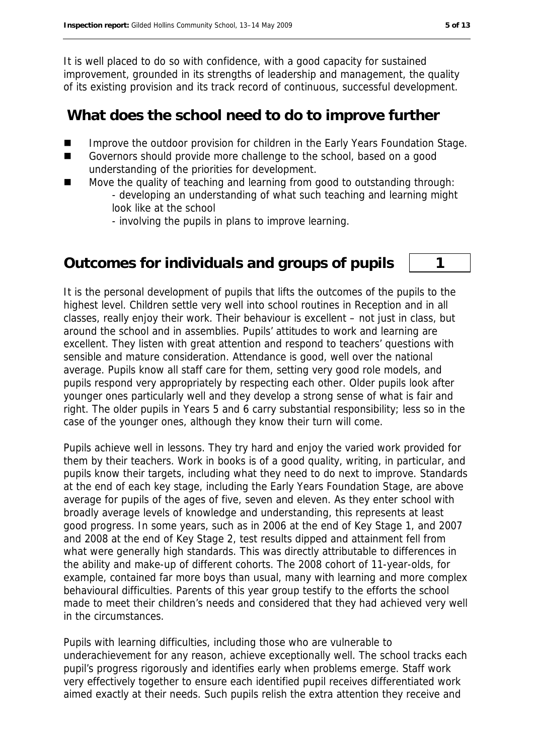It is well placed to do so with confidence, with a good capacity for sustained improvement, grounded in its strengths of leadership and management, the quality of its existing provision and its track record of continuous, successful development.

#### **What does the school need to do to improve further**

- Improve the outdoor provision for children in the Early Years Foundation Stage.
- Governors should provide more challenge to the school, based on a good understanding of the priorities for development.
- Move the quality of teaching and learning from good to outstanding through: - developing an understanding of what such teaching and learning might look like at the school
	- involving the pupils in plans to improve learning.

### **Outcomes for individuals and groups of pupils 1**

It is the personal development of pupils that lifts the outcomes of the pupils to the highest level. Children settle very well into school routines in Reception and in all classes, really enjoy their work. Their behaviour is excellent – not just in class, but around the school and in assemblies. Pupils' attitudes to work and learning are excellent. They listen with great attention and respond to teachers' questions with sensible and mature consideration. Attendance is good, well over the national average. Pupils know all staff care for them, setting very good role models, and pupils respond very appropriately by respecting each other. Older pupils look after younger ones particularly well and they develop a strong sense of what is fair and right. The older pupils in Years 5 and 6 carry substantial responsibility; less so in the case of the younger ones, although they know their turn will come.

Pupils achieve well in lessons. They try hard and enjoy the varied work provided for them by their teachers. Work in books is of a good quality, writing, in particular, and pupils know their targets, including what they need to do next to improve. Standards at the end of each key stage, including the Early Years Foundation Stage, are above average for pupils of the ages of five, seven and eleven. As they enter school with broadly average levels of knowledge and understanding, this represents at least good progress. In some years, such as in 2006 at the end of Key Stage 1, and 2007 and 2008 at the end of Key Stage 2, test results dipped and attainment fell from what were generally high standards. This was directly attributable to differences in the ability and make-up of different cohorts. The 2008 cohort of 11-year-olds, for example, contained far more boys than usual, many with learning and more complex behavioural difficulties. Parents of this year group testify to the efforts the school made to meet their children's needs and considered that they had achieved very well in the circumstances.

Pupils with learning difficulties, including those who are vulnerable to underachievement for any reason, achieve exceptionally well. The school tracks each pupil's progress rigorously and identifies early when problems emerge. Staff work very effectively together to ensure each identified pupil receives differentiated work aimed exactly at their needs. Such pupils relish the extra attention they receive and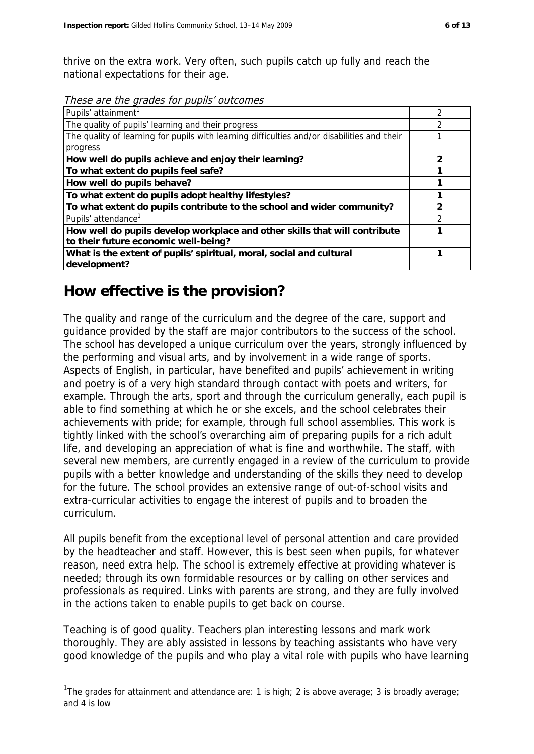thrive on the extra work. Very often, such pupils catch up fully and reach the national expectations for their age.

These are the grades for pupils' outcomes

| Pupils' attainment <sup>1</sup>                                                             | 2 |
|---------------------------------------------------------------------------------------------|---|
| The quality of pupils' learning and their progress                                          |   |
| The quality of learning for pupils with learning difficulties and/or disabilities and their |   |
| progress                                                                                    |   |
| How well do pupils achieve and enjoy their learning?                                        | っ |
| To what extent do pupils feel safe?                                                         |   |
| How well do pupils behave?                                                                  |   |
| To what extent do pupils adopt healthy lifestyles?                                          |   |
| To what extent do pupils contribute to the school and wider community?                      |   |
| Pupils' attendance <sup>1</sup>                                                             | າ |
| How well do pupils develop workplace and other skills that will contribute                  |   |
| to their future economic well-being?                                                        |   |
| What is the extent of pupils' spiritual, moral, social and cultural                         |   |
| development?                                                                                |   |

#### **How effective is the provision?**

1

The quality and range of the curriculum and the degree of the care, support and guidance provided by the staff are major contributors to the success of the school. The school has developed a unique curriculum over the years, strongly influenced by the performing and visual arts, and by involvement in a wide range of sports. Aspects of English, in particular, have benefited and pupils' achievement in writing and poetry is of a very high standard through contact with poets and writers, for example. Through the arts, sport and through the curriculum generally, each pupil is able to find something at which he or she excels, and the school celebrates their achievements with pride; for example, through full school assemblies. This work is tightly linked with the school's overarching aim of preparing pupils for a rich adult life, and developing an appreciation of what is fine and worthwhile. The staff, with several new members, are currently engaged in a review of the curriculum to provide pupils with a better knowledge and understanding of the skills they need to develop for the future. The school provides an extensive range of out-of-school visits and extra-curricular activities to engage the interest of pupils and to broaden the curriculum.

All pupils benefit from the exceptional level of personal attention and care provided by the headteacher and staff. However, this is best seen when pupils, for whatever reason, need extra help. The school is extremely effective at providing whatever is needed; through its own formidable resources or by calling on other services and professionals as required. Links with parents are strong, and they are fully involved in the actions taken to enable pupils to get back on course.

Teaching is of good quality. Teachers plan interesting lessons and mark work thoroughly. They are ably assisted in lessons by teaching assistants who have very good knowledge of the pupils and who play a vital role with pupils who have learning

<sup>&</sup>lt;sup>1</sup>The grades for attainment and attendance are: 1 is high; 2 is above average; 3 is broadly average; and 4 is low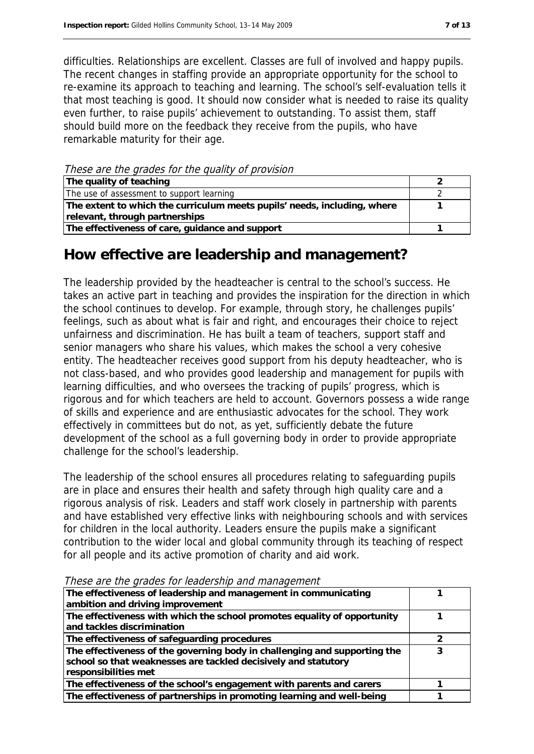difficulties. Relationships are excellent. Classes are full of involved and happy pupils. The recent changes in staffing provide an appropriate opportunity for the school to re-examine its approach to teaching and learning. The school's self-evaluation tells it that most teaching is good. It should now consider what is needed to raise its quality even further, to raise pupils' achievement to outstanding. To assist them, staff should build more on the feedback they receive from the pupils, who have remarkable maturity for their age.

These are the grades for the quality of provision

| The quality of teaching                                                  |  |
|--------------------------------------------------------------------------|--|
| The use of assessment to support learning                                |  |
| The extent to which the curriculum meets pupils' needs, including, where |  |
| relevant, through partnerships                                           |  |
| The effectiveness of care, guidance and support                          |  |

#### **How effective are leadership and management?**

The leadership provided by the headteacher is central to the school's success. He takes an active part in teaching and provides the inspiration for the direction in which the school continues to develop. For example, through story, he challenges pupils' feelings, such as about what is fair and right, and encourages their choice to reject unfairness and discrimination. He has built a team of teachers, support staff and senior managers who share his values, which makes the school a very cohesive entity. The headteacher receives good support from his deputy headteacher, who is not class-based, and who provides good leadership and management for pupils with learning difficulties, and who oversees the tracking of pupils' progress, which is rigorous and for which teachers are held to account. Governors possess a wide range of skills and experience and are enthusiastic advocates for the school. They work effectively in committees but do not, as yet, sufficiently debate the future development of the school as a full governing body in order to provide appropriate challenge for the school's leadership.

The leadership of the school ensures all procedures relating to safeguarding pupils are in place and ensures their health and safety through high quality care and a rigorous analysis of risk. Leaders and staff work closely in partnership with parents and have established very effective links with neighbouring schools and with services for children in the local authority. Leaders ensure the pupils make a significant contribution to the wider local and global community through its teaching of respect for all people and its active promotion of charity and aid work.

| The effectiveness of leadership and management in communicating                                                                                                     |  |
|---------------------------------------------------------------------------------------------------------------------------------------------------------------------|--|
| ambition and driving improvement                                                                                                                                    |  |
| The effectiveness with which the school promotes equality of opportunity                                                                                            |  |
| and tackles discrimination                                                                                                                                          |  |
| The effectiveness of safeguarding procedures                                                                                                                        |  |
| The effectiveness of the governing body in challenging and supporting the<br>school so that weaknesses are tackled decisively and statutory<br>responsibilities met |  |
| The effectiveness of the school's engagement with parents and carers                                                                                                |  |
| The effectiveness of partnerships in promoting learning and well-being                                                                                              |  |

These are the grades for leadership and management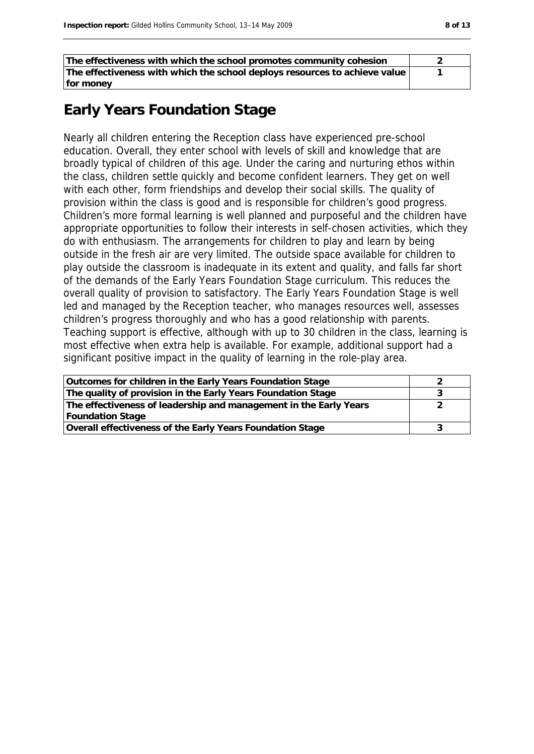| The effectiveness with which the school promotes community cohesion        |  |
|----------------------------------------------------------------------------|--|
| The effectiveness with which the school deploys resources to achieve value |  |
| for money                                                                  |  |

#### **Early Years Foundation Stage**

Nearly all children entering the Reception class have experienced pre-school education. Overall, they enter school with levels of skill and knowledge that are broadly typical of children of this age. Under the caring and nurturing ethos within the class, children settle quickly and become confident learners. They get on well with each other, form friendships and develop their social skills. The quality of provision within the class is good and is responsible for children's good progress. Children's more formal learning is well planned and purposeful and the children have appropriate opportunities to follow their interests in self-chosen activities, which they do with enthusiasm. The arrangements for children to play and learn by being outside in the fresh air are very limited. The outside space available for children to play outside the classroom is inadequate in its extent and quality, and falls far short of the demands of the Early Years Foundation Stage curriculum. This reduces the overall quality of provision to satisfactory. The Early Years Foundation Stage is well led and managed by the Reception teacher, who manages resources well, assesses children's progress thoroughly and who has a good relationship with parents. Teaching support is effective, although with up to 30 children in the class, learning is most effective when extra help is available. For example, additional support had a significant positive impact in the quality of learning in the role-play area.

| Outcomes for children in the Early Years Foundation Stage         |  |
|-------------------------------------------------------------------|--|
| The quality of provision in the Early Years Foundation Stage      |  |
| The effectiveness of leadership and management in the Early Years |  |
| <b>Foundation Stage</b>                                           |  |
| Overall effectiveness of the Early Years Foundation Stage         |  |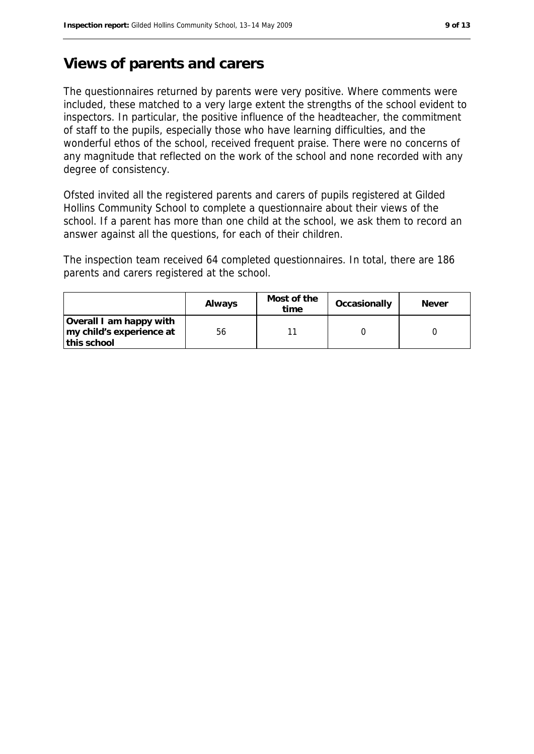### **Views of parents and carers**

The questionnaires returned by parents were very positive. Where comments were included, these matched to a very large extent the strengths of the school evident to inspectors. In particular, the positive influence of the headteacher, the commitment of staff to the pupils, especially those who have learning difficulties, and the wonderful ethos of the school, received frequent praise. There were no concerns of any magnitude that reflected on the work of the school and none recorded with any degree of consistency.

Ofsted invited all the registered parents and carers of pupils registered at Gilded Hollins Community School to complete a questionnaire about their views of the school. If a parent has more than one child at the school, we ask them to record an answer against all the questions, for each of their children.

The inspection team received 64 completed questionnaires. In total, there are 186 parents and carers registered at the school.

|                          | Always | Most of the<br>time | Occasionally | <b>Never</b> |
|--------------------------|--------|---------------------|--------------|--------------|
| Overall I am happy with  |        |                     |              |              |
| my child's experience at | 56     |                     |              |              |
| this school              |        |                     |              |              |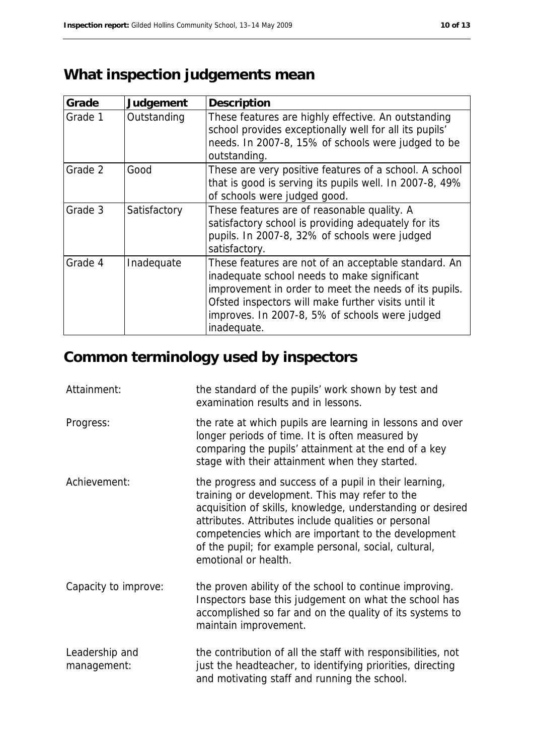# **What inspection judgements mean**

| Grade   | Judgement    | Description                                                                                                                                                                                                                                                                          |
|---------|--------------|--------------------------------------------------------------------------------------------------------------------------------------------------------------------------------------------------------------------------------------------------------------------------------------|
| Grade 1 | Outstanding  | These features are highly effective. An outstanding<br>school provides exceptionally well for all its pupils'<br>needs. In 2007-8, 15% of schools were judged to be<br>outstanding.                                                                                                  |
| Grade 2 | Good         | These are very positive features of a school. A school<br>that is good is serving its pupils well. In 2007-8, 49%<br>of schools were judged good.                                                                                                                                    |
| Grade 3 | Satisfactory | These features are of reasonable quality. A<br>satisfactory school is providing adequately for its<br>pupils. In 2007-8, 32% of schools were judged<br>satisfactory.                                                                                                                 |
| Grade 4 | Inadequate   | These features are not of an acceptable standard. An<br>inadequate school needs to make significant<br>improvement in order to meet the needs of its pupils.<br>Ofsted inspectors will make further visits until it<br>improves. In 2007-8, 5% of schools were judged<br>inadequate. |

# **Common terminology used by inspectors**

| Attainment:                   | the standard of the pupils' work shown by test and<br>examination results and in lessons.                                                                                                                                                                                                                                                                              |
|-------------------------------|------------------------------------------------------------------------------------------------------------------------------------------------------------------------------------------------------------------------------------------------------------------------------------------------------------------------------------------------------------------------|
| Progress:                     | the rate at which pupils are learning in lessons and over<br>longer periods of time. It is often measured by<br>comparing the pupils' attainment at the end of a key<br>stage with their attainment when they started.                                                                                                                                                 |
| Achievement:                  | the progress and success of a pupil in their learning,<br>training or development. This may refer to the<br>acquisition of skills, knowledge, understanding or desired<br>attributes. Attributes include qualities or personal<br>competencies which are important to the development<br>of the pupil; for example personal, social, cultural,<br>emotional or health. |
| Capacity to improve:          | the proven ability of the school to continue improving.<br>Inspectors base this judgement on what the school has<br>accomplished so far and on the quality of its systems to<br>maintain improvement.                                                                                                                                                                  |
| Leadership and<br>management: | the contribution of all the staff with responsibilities, not<br>just the headteacher, to identifying priorities, directing<br>and motivating staff and running the school.                                                                                                                                                                                             |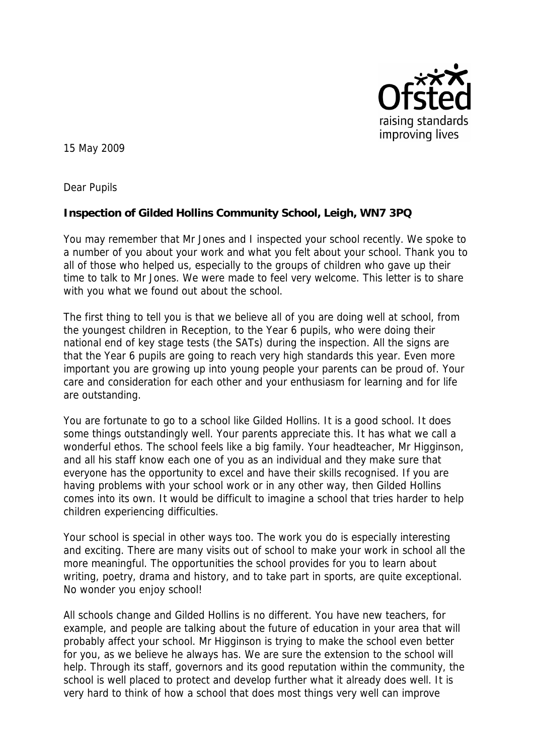

15 May 2009

Dear Pupils

**Inspection of Gilded Hollins Community School, Leigh, WN7 3PQ**

You may remember that Mr Jones and I inspected your school recently. We spoke to a number of you about your work and what you felt about your school. Thank you to all of those who helped us, especially to the groups of children who gave up their time to talk to Mr Jones. We were made to feel very welcome. This letter is to share with you what we found out about the school.

The first thing to tell you is that we believe all of you are doing well at school, from the youngest children in Reception, to the Year 6 pupils, who were doing their national end of key stage tests (the SATs) during the inspection. All the signs are that the Year 6 pupils are going to reach very high standards this year. Even more important you are growing up into young people your parents can be proud of. Your care and consideration for each other and your enthusiasm for learning and for life are outstanding.

You are fortunate to go to a school like Gilded Hollins. It is a good school. It does some things outstandingly well. Your parents appreciate this. It has what we call a wonderful ethos. The school feels like a big family. Your headteacher, Mr Higginson, and all his staff know each one of you as an individual and they make sure that everyone has the opportunity to excel and have their skills recognised. If you are having problems with your school work or in any other way, then Gilded Hollins comes into its own. It would be difficult to imagine a school that tries harder to help children experiencing difficulties.

Your school is special in other ways too. The work you do is especially interesting and exciting. There are many visits out of school to make your work in school all the more meaningful. The opportunities the school provides for you to learn about writing, poetry, drama and history, and to take part in sports, are quite exceptional. No wonder you enjoy school!

All schools change and Gilded Hollins is no different. You have new teachers, for example, and people are talking about the future of education in your area that will probably affect your school. Mr Higginson is trying to make the school even better for you, as we believe he always has. We are sure the extension to the school will help. Through its staff, governors and its good reputation within the community, the school is well placed to protect and develop further what it already does well. It is very hard to think of how a school that does most things very well can improve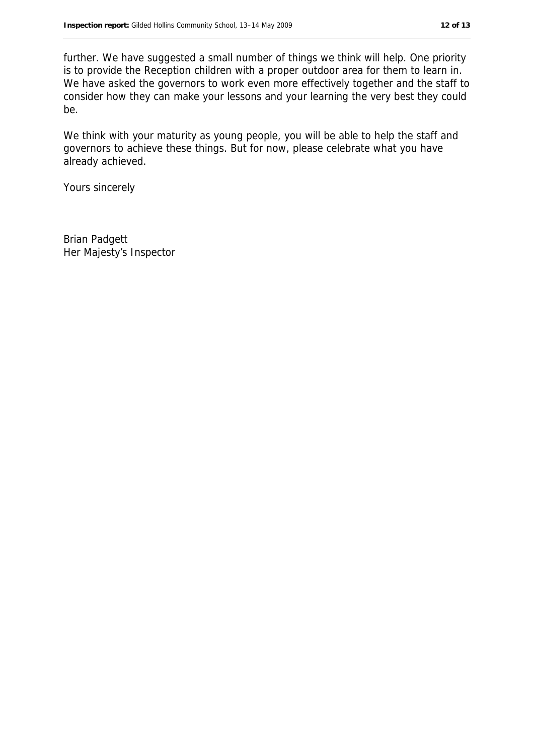further. We have suggested a small number of things we think will help. One priority is to provide the Reception children with a proper outdoor area for them to learn in. We have asked the governors to work even more effectively together and the staff to consider how they can make your lessons and your learning the very best they could be.

We think with your maturity as young people, you will be able to help the staff and governors to achieve these things. But for now, please celebrate what you have already achieved.

Yours sincerely

Brian Padgett Her Majesty's Inspector